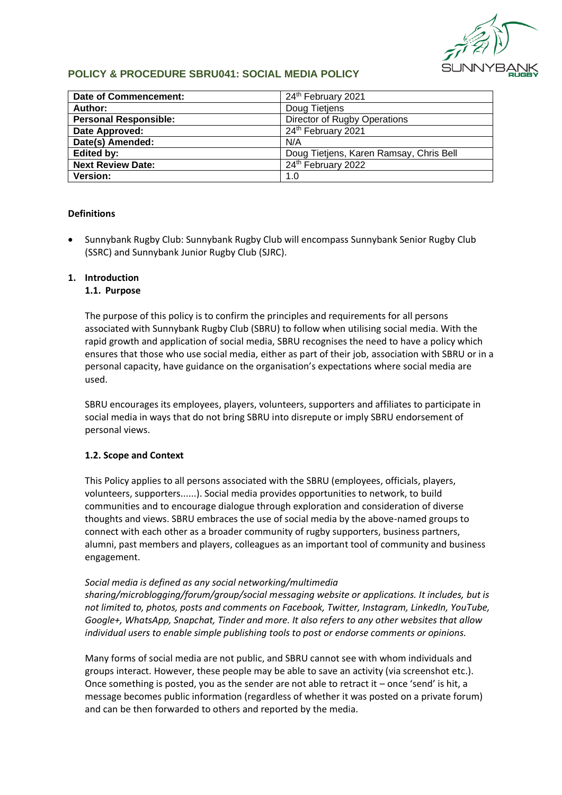

# **POLICY & PROCEDURE SBRU041: SOCIAL MEDIA POLICY**

| Date of Commencement:        | 24th February 2021                      |
|------------------------------|-----------------------------------------|
| Author:                      | Doug Tietjens                           |
| <b>Personal Responsible:</b> | Director of Rugby Operations            |
| Date Approved:               | 24th February 2021                      |
| Date(s) Amended:             | N/A                                     |
| <b>Edited by:</b>            | Doug Tietjens, Karen Ramsay, Chris Bell |
| <b>Next Review Date:</b>     | 24th February 2022                      |
| <b>Version:</b>              | 1.0                                     |

# **Definitions**

• Sunnybank Rugby Club: Sunnybank Rugby Club will encompass Sunnybank Senior Rugby Club (SSRC) and Sunnybank Junior Rugby Club (SJRC).

# **1. Introduction**

# **1.1. Purpose**

The purpose of this policy is to confirm the principles and requirements for all persons associated with Sunnybank Rugby Club (SBRU) to follow when utilising social media. With the rapid growth and application of social media, SBRU recognises the need to have a policy which ensures that those who use social media, either as part of their job, association with SBRU or in a personal capacity, have guidance on the organisation's expectations where social media are used.

SBRU encourages its employees, players, volunteers, supporters and affiliates to participate in social media in ways that do not bring SBRU into disrepute or imply SBRU endorsement of personal views.

#### **1.2. Scope and Context**

This Policy applies to all persons associated with the SBRU (employees, officials, players, volunteers, supporters......). Social media provides opportunities to network, to build communities and to encourage dialogue through exploration and consideration of diverse thoughts and views. SBRU embraces the use of social media by the above-named groups to connect with each other as a broader community of rugby supporters, business partners, alumni, past members and players, colleagues as an important tool of community and business engagement.

#### *Social media is defined as any social networking/multimedia*

*sharing/microblogging/forum/group/social messaging website or applications. It includes, but is not limited to, photos, posts and comments on Facebook, Twitter, Instagram, LinkedIn, YouTube, Google+, WhatsApp, Snapchat, Tinder and more. It also refers to any other websites that allow individual users to enable simple publishing tools to post or endorse comments or opinions.*

Many forms of social media are not public, and SBRU cannot see with whom individuals and groups interact. However, these people may be able to save an activity (via screenshot etc.). Once something is posted, you as the sender are not able to retract it  $-$  once 'send' is hit, a message becomes public information (regardless of whether it was posted on a private forum) and can be then forwarded to others and reported by the media.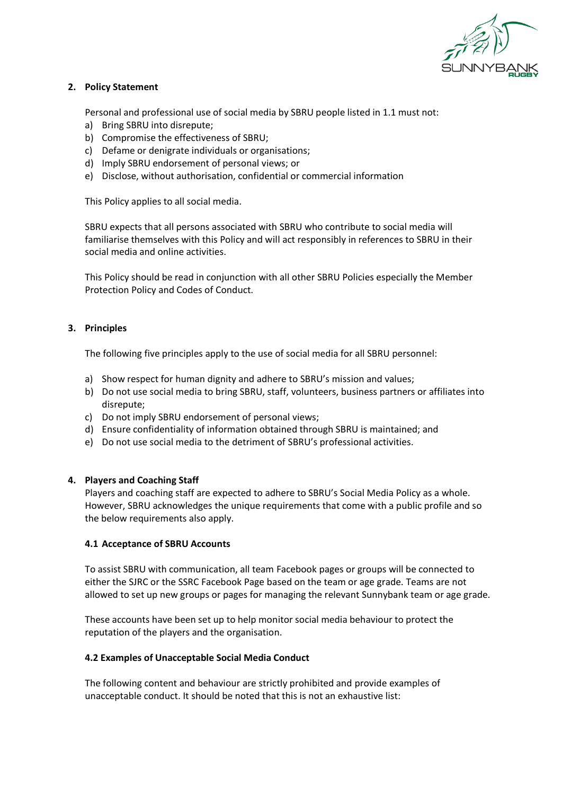

# **2. Policy Statement**

Personal and professional use of social media by SBRU people listed in 1.1 must not:

- a) Bring SBRU into disrepute;
- b) Compromise the effectiveness of SBRU;
- c) Defame or denigrate individuals or organisations;
- d) Imply SBRU endorsement of personal views; or
- e) Disclose, without authorisation, confidential or commercial information

This Policy applies to all social media.

SBRU expects that all persons associated with SBRU who contribute to social media will familiarise themselves with this Policy and will act responsibly in references to SBRU in their social media and online activities.

This Policy should be read in conjunction with all other SBRU Policies especially the Member Protection Policy and Codes of Conduct.

#### **3. Principles**

The following five principles apply to the use of social media for all SBRU personnel:

- a) Show respect for human dignity and adhere to SBRU's mission and values;
- b) Do not use social media to bring SBRU, staff, volunteers, business partners or affiliates into disrepute;
- c) Do not imply SBRU endorsement of personal views;
- d) Ensure confidentiality of information obtained through SBRU is maintained; and
- e) Do not use social media to the detriment of SBRU's professional activities.

#### **4. Players and Coaching Staff**

Players and coaching staff are expected to adhere to SBRU's Social Media Policy as a whole. However, SBRU acknowledges the unique requirements that come with a public profile and so the below requirements also apply.

#### **4.1 Acceptance of SBRU Accounts**

To assist SBRU with communication, all team Facebook pages or groups will be connected to either the SJRC or the SSRC Facebook Page based on the team or age grade. Teams are not allowed to set up new groups or pages for managing the relevant Sunnybank team or age grade.

These accounts have been set up to help monitor social media behaviour to protect the reputation of the players and the organisation.

#### **4.2 Examples of Unacceptable Social Media Conduct**

The following content and behaviour are strictly prohibited and provide examples of unacceptable conduct. It should be noted that this is not an exhaustive list: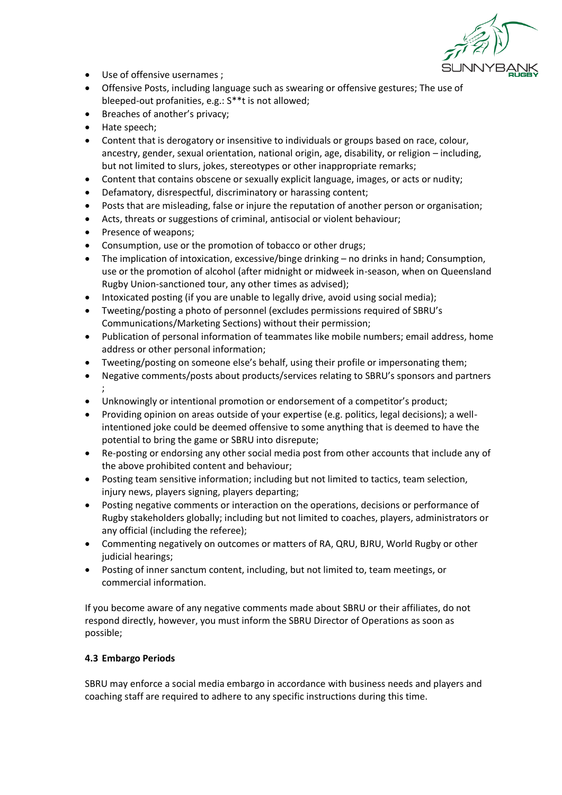

- Use of offensive usernames ;
- Offensive Posts, including language such as swearing or offensive gestures; The use of bleeped-out profanities, e.g.: S\*\*t is not allowed;
- Breaches of another's privacy;
- Hate speech;
- Content that is derogatory or insensitive to individuals or groups based on race, colour, ancestry, gender, sexual orientation, national origin, age, disability, or religion – including, but not limited to slurs, jokes, stereotypes or other inappropriate remarks;
- Content that contains obscene or sexually explicit language, images, or acts or nudity;
- Defamatory, disrespectful, discriminatory or harassing content;
- Posts that are misleading, false or injure the reputation of another person or organisation;
- Acts, threats or suggestions of criminal, antisocial or violent behaviour;
- Presence of weapons;
- Consumption, use or the promotion of tobacco or other drugs;
- The implication of intoxication, excessive/binge drinking no drinks in hand; Consumption, use or the promotion of alcohol (after midnight or midweek in-season, when on Queensland Rugby Union-sanctioned tour, any other times as advised);
- Intoxicated posting (if you are unable to legally drive, avoid using social media);
- Tweeting/posting a photo of personnel (excludes permissions required of SBRU's Communications/Marketing Sections) without their permission;
- Publication of personal information of teammates like mobile numbers; email address, home address or other personal information;
- Tweeting/posting on someone else's behalf, using their profile or impersonating them;
- Negative comments/posts about products/services relating to SBRU's sponsors and partners ;
- Unknowingly or intentional promotion or endorsement of a competitor's product;
- Providing opinion on areas outside of your expertise (e.g. politics, legal decisions); a wellintentioned joke could be deemed offensive to some anything that is deemed to have the potential to bring the game or SBRU into disrepute;
- Re-posting or endorsing any other social media post from other accounts that include any of the above prohibited content and behaviour;
- Posting team sensitive information; including but not limited to tactics, team selection, injury news, players signing, players departing;
- Posting negative comments or interaction on the operations, decisions or performance of Rugby stakeholders globally; including but not limited to coaches, players, administrators or any official (including the referee);
- Commenting negatively on outcomes or matters of RA, QRU, BJRU, World Rugby or other judicial hearings;
- Posting of inner sanctum content, including, but not limited to, team meetings, or commercial information.

If you become aware of any negative comments made about SBRU or their affiliates, do not respond directly, however, you must inform the SBRU Director of Operations as soon as possible;

# **4.3 Embargo Periods**

SBRU may enforce a social media embargo in accordance with business needs and players and coaching staff are required to adhere to any specific instructions during this time.